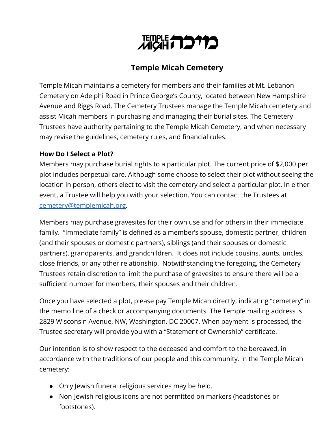

# **Temple Micah Cemetery**

Temple Micah maintains a cemetery for members and their families at Mt. Lebanon Cemetery on Adelphi Road in Prince George's County, located between New Hampshire Avenue and Riggs Road. The Cemetery Trustees manage the Temple Micah cemetery and assist Micah members in purchasing and managing their burial sites. The Cemetery Trustees have authority pertaining to the Temple Micah Cemetery, and when necessary may revise the guidelines, cemetery rules, and financial rules.

### **How Do I Select a Plot?**

Members may purchase burial rights to a particular plot. The current price of \$2,000 per plot includes perpetual care. Although some choose to select their plot without seeing the location in person, others elect to visit the cemetery and select a particular plot. In either event, a Trustee will help you with your selection. You can contact the Trustees at [cemetery@templemicah.org.](mailto:cemetery@templemicah.org)

Members may purchase gravesites for their own use and for others in their immediate family. "Immediate family" is defined as a member's spouse, domestic partner, children (and their spouses or domestic partners), siblings (and their spouses or domestic partners), grandparents, and grandchildren. It does not include cousins, aunts, uncles, close friends, or any other relationship. Notwithstanding the foregoing, the Cemetery Trustees retain discretion to limit the purchase of gravesites to ensure there will be a sufficient number for members, their spouses and their children.

Once you have selected a plot, please pay Temple Micah directly, indicating "cemetery" in the memo line of a check or accompanying documents. The Temple mailing address is 2829 Wisconsin Avenue, NW, Washington, DC 20007. When payment is processed, the Trustee secretary will provide you with a "Statement of Ownership" certificate.

Our intention is to show respect to the deceased and comfort to the bereaved, in accordance with the traditions of our people and this community. In the Temple Micah cemetery:

- Only Jewish funeral religious services may be held.
- Non-Jewish religious icons are not permitted on markers (headstones or footstones).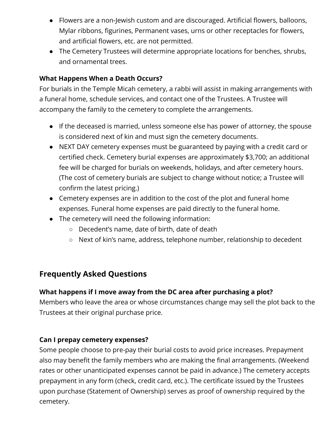- Flowers are a non-Jewish custom and are discouraged. Artificial flowers, balloons, Mylar ribbons, figurines, Permanent vases, urns or other receptacles for flowers, and artificial flowers, etc. are not permitted.
- The Cemetery Trustees will determine appropriate locations for benches, shrubs, and ornamental trees.

## **What Happens When a Death Occurs?**

For burials in the Temple Micah cemetery, a rabbi will assist in making arrangements with a funeral home, schedule services, and contact one of the Trustees. A Trustee will accompany the family to the cemetery to complete the arrangements.

- If the deceased is married, unless someone else has power of attorney, the spouse is considered next of kin and must sign the cemetery documents.
- NEXT DAY cemetery expenses must be guaranteed by paying with a credit card or certified check. Cemetery burial expenses are approximately \$3,700; an additional fee will be charged for burials on weekends, holidays, and after cemetery hours. (The cost of cemetery burials are subject to change without notice; a Trustee will confirm the latest pricing.)
- Cemetery expenses are in addition to the cost of the plot and funeral home expenses. Funeral home expenses are paid directly to the funeral home.
- The cemetery will need the following information:
	- Decedent's name, date of birth, date of death
	- Next of kin's name, address, telephone number, relationship to decedent

# **Frequently Asked Questions**

## **What happens if I move away from the DC area after purchasing a plot?**

Members who leave the area or whose circumstances change may sell the plot back to the Trustees at their original purchase price.

### **Can I prepay cemetery expenses?**

Some people choose to pre-pay their burial costs to avoid price increases. Prepayment also may benefit the family members who are making the final arrangements. (Weekend rates or other unanticipated expenses cannot be paid in advance.) The cemetery accepts prepayment in any form (check, credit card, etc.). The certificate issued by the Trustees upon purchase (Statement of Ownership) serves as proof of ownership required by the cemetery.